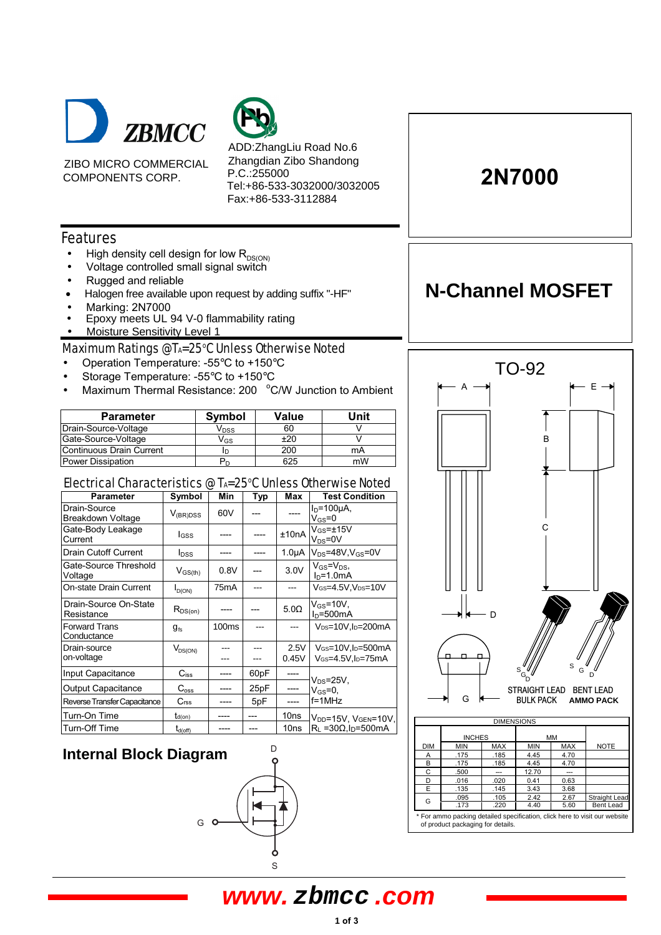

ZIBO MICRO COMMERCIAL COMPONENTS CORP.

ADD:ZhangLiu Road No.6 Zhangdian Zibo Shandong P.C.:255000 Tel:+86-533-3032000/3032005 Fax:+86-533-3112884

### Features

- High density cell design for low  $R_{DS(ON)}$
- Voltage controlled small signal switch
- Rugged and reliable
- Halogen free available upon request by adding suffix "-HF"
- Marking: 2N7000
- Epoxy meets UL 94 V-0 flammability rating
- Moisture Sensitivity Level 1

Maximum Ratings @TA=25°C Unless Otherwise Noted

- Operation Temperature: -55°C to +150°C
- Storage Temperature: -55°C to +150°C
- Maximum Thermal Resistance: 200 °C/W Junction to Ambient

| <b>Parameter</b>         | <b>Symbol</b>    | Value | Unit |
|--------------------------|------------------|-------|------|
| Drain-Source-Voltage     | V <sub>DSS</sub> | 60    |      |
| Gate-Source-Voltage      | V <sub>GS</sub>  | ±20   |      |
| Continuous Drain Current |                  | 200   | mA   |
| <b>Power Dissipation</b> |                  | 625   | mW   |

### Electrical Characteristics @ TA=25°C Unless Otherwise Noted

| <b>Parameter</b>                         | Symbol                  | Min               | <b>Typ</b> | Max              | <b>Test Condition</b>                       |  |
|------------------------------------------|-------------------------|-------------------|------------|------------------|---------------------------------------------|--|
| Drain-Source<br><b>Breakdown Voltage</b> | $V_{(BR)DSS}$           | 60V               |            |                  | $ID=100µA$<br>$V_{GS} = 0$                  |  |
| Gate-Body Leakage<br>Current             | I <sub>GSS</sub>        |                   |            | ±10nA            | $V_{GS} = \pm 15V$<br>$V_{DS}$ =0V          |  |
| <b>Drain Cutoff Current</b>              | <b>I</b> <sub>DSS</sub> |                   |            | $1.0\muA$        | $V_{DS}$ =48V,V $_{GS}$ =0V                 |  |
| Gate-Source Threshold<br>Voltage         | $V_{GS(th)}$            | 0.8V              |            | 3.0V             | $V_{GS} = V_{DS}$<br>$ID=1.0mA$             |  |
| On-state Drain Current                   | $I_{D(ON)}$             | 75 <sub>m</sub> A |            |                  | VGS=4.5V, VDS=10V                           |  |
| Drain-Source On-State<br>Resistance      | $R_{DS(on)}$            | ----              |            | $5.0\Omega$      | $V_{GS} = 10V$<br>$ln=500mA$                |  |
| <b>Forward Trans</b><br>Conductance      | $g_{\rm fs}$            | 100 <sub>ms</sub> |            |                  | V <sub>DS</sub> =10V, l <sub>D</sub> =200mA |  |
| Drain-source                             | $V_{DS(ON)}$            |                   |            | 2.5V             | V <sub>GS</sub> =10V,l <sub>D</sub> =500mA  |  |
| on-voltage                               |                         |                   |            | 0.45V            | VGs=4.5V,lp=75mA                            |  |
| Input Capacitance                        | $C_{iss}$               | ----              | 60pF       |                  | $V_{DS}$ =25V,                              |  |
| <b>Output Capacitance</b>                | $C_{\rm oss}$           | ----              | 25pF       | ----             | $V_{GS} = 0$                                |  |
| Reverse Transfer Capacitance             | C <sub>rss</sub>        |                   | 5pF        |                  | $f = 1$ MHz                                 |  |
| Turn-On Time                             | $t_{d(on)}$             |                   |            | 10 <sub>ns</sub> | V <sub>DD</sub> =15V, VGEN=10V,             |  |
| Turn-Off Time                            | $t_{d(\text{off})}$     |                   |            | 10ns             | $R_1 = 30 \Omega I_D = 500 \text{mA}$       |  |

### **Internal Block Diagram**



# 2N7000

## **N-Channel MOSFET**



| <b>DIMENSIONS</b>                                                                                               |               |            |            |            |                      |
|-----------------------------------------------------------------------------------------------------------------|---------------|------------|------------|------------|----------------------|
|                                                                                                                 | <b>INCHES</b> |            | MM         |            |                      |
| <b>DIM</b>                                                                                                      | <b>MIN</b>    | <b>MAX</b> | <b>MIN</b> | <b>MAX</b> | <b>NOTE</b>          |
| Α                                                                                                               | .175          | .185       | 4.45       | 4.70       |                      |
| в                                                                                                               | .175          | .185       | 4.45       | 4.70       |                      |
| C                                                                                                               | .500          | ---        | 12.70      | ---        |                      |
| D                                                                                                               | .016          | .020       | 0.41       | 0.63       |                      |
| E                                                                                                               | .135          | .145       | 3.43       | 3.68       |                      |
| G                                                                                                               | .095          | .105       | 2.42       | 2.67       | <b>Straight Lead</b> |
|                                                                                                                 | .173          | .220       | 4.40       | 5.60       | Bent Lead            |
| * For ammo packing detailed specification, click here to visit our website<br>of product packaging for details. |               |            |            |            |                      |

### **www. zbmcc .com**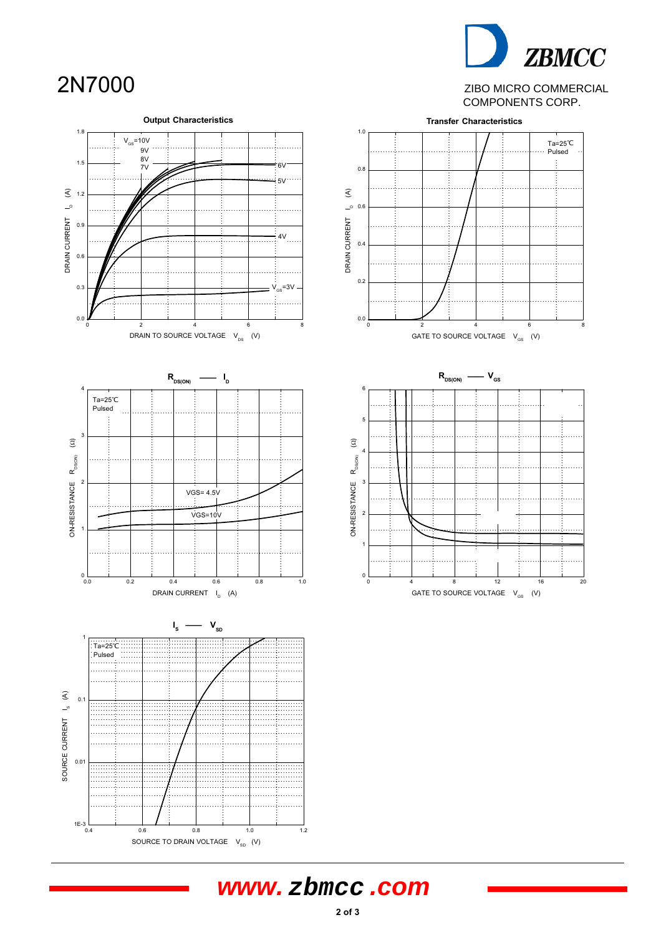# 2N7000

# **ZBMCC**

ZIBO MICRO COMMERCIAL COMPONENTS CORP.



## **www. zbmcc .com**